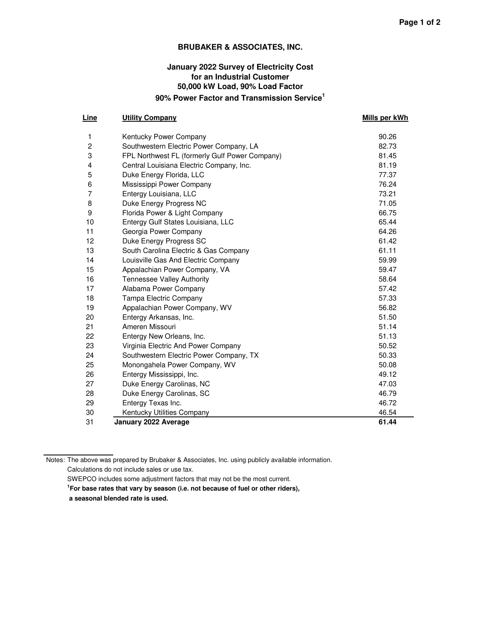#### **BRUBAKER & ASSOCIATES, INC.**

## **January 2022 Survey of Electricity Cost for an Industrial Customer 50,000 kW Load, 90% Load Factor 90% Power Factor and Transmission Service<sup>1</sup>**

#### **Line Utility Company COMPANY Row Labels Mills per kWh Mills per kWh**

| 1              | Kentucky Power Company                         | 90.26 |
|----------------|------------------------------------------------|-------|
| $\overline{c}$ | Southwestern Electric Power Company, LA        | 82.73 |
| 3              | FPL Northwest FL (formerly Gulf Power Company) | 81.45 |
| 4              | Central Louisiana Electric Company, Inc.       | 81.19 |
| 5              | Duke Energy Florida, LLC                       | 77.37 |
| 6              | Mississippi Power Company                      | 76.24 |
| 7              | Entergy Louisiana, LLC                         | 73.21 |
| 8              | Duke Energy Progress NC                        | 71.05 |
| 9              | Florida Power & Light Company                  | 66.75 |
| 10             | Entergy Gulf States Louisiana, LLC             | 65.44 |
| 11             | Georgia Power Company                          | 64.26 |
| 12             | Duke Energy Progress SC                        | 61.42 |
| 13             | South Carolina Electric & Gas Company          | 61.11 |
| 14             | Louisville Gas And Electric Company            | 59.99 |
| 15             | Appalachian Power Company, VA                  | 59.47 |
| 16             | <b>Tennessee Valley Authority</b>              | 58.64 |
| 17             | Alabama Power Company                          | 57.42 |
| 18             | <b>Tampa Electric Company</b>                  | 57.33 |
| 19             | Appalachian Power Company, WV                  | 56.82 |
| 20             | Entergy Arkansas, Inc.                         | 51.50 |
| 21             | Ameren Missouri                                | 51.14 |
| 22             | Entergy New Orleans, Inc.                      | 51.13 |
| 23             | Virginia Electric And Power Company            | 50.52 |
| 24             | Southwestern Electric Power Company, TX        | 50.33 |
| 25             | Monongahela Power Company, WV                  | 50.08 |
| 26             | Entergy Mississippi, Inc.                      | 49.12 |
| 27             | Duke Energy Carolinas, NC                      | 47.03 |
| 28             | Duke Energy Carolinas, SC                      | 46.79 |
| 29             | Entergy Texas Inc.                             | 46.72 |
| 30             | Kentucky Utilities Company                     | 46.54 |
| 31             | January 2022 Average                           | 61.44 |

Notes: The above was prepared by Brubaker & Associates, Inc. using publicly available information. Calculations do not include sales or use tax.

SWEPCO includes some adjustment factors that may not be the most current.

**1 For base rates that vary by season (i.e. not because of fuel or other riders),** 

 **a seasonal blended rate is used.**